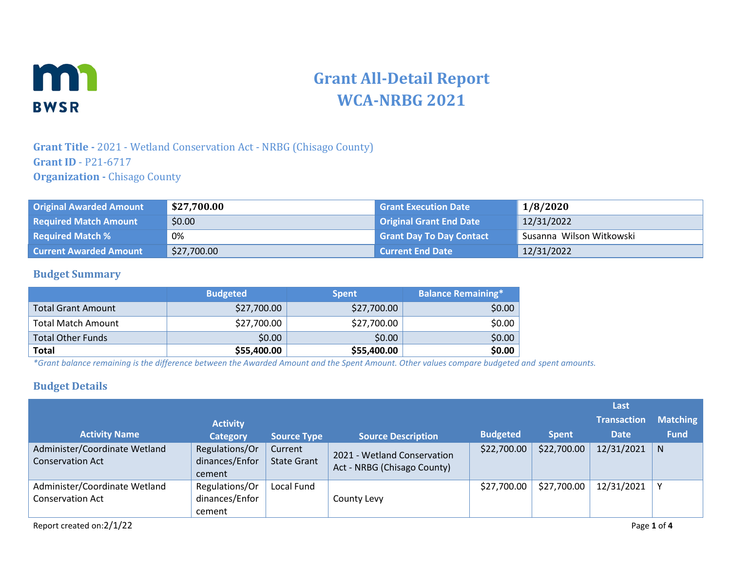

# **Grant All-Detail Report WCA-NRBG 2021**

### **Grant Title -** 2021 - Wetland Conservation Act - NRBG (Chisago County) **Grant ID** - P21-6717 **Organization -** Chisago County

| <b>Original Awarded Amount</b> | \$27,700.00 | <b>Grant Execution Date</b>     | 1/8/2020                 |
|--------------------------------|-------------|---------------------------------|--------------------------|
| <b>Required Match Amount</b>   | \$0.00      | <b>Original Grant End Date</b>  | 12/31/2022               |
| <b>Required Match %</b>        | 0%          | <b>Grant Day To Day Contact</b> | Susanna Wilson Witkowski |
| <b>Current Awarded Amount</b>  | \$27,700.00 | Current End Date                | 12/31/2022               |

#### **Budget Summary**

|                           | <b>Budgeted</b> | <b>Spent</b> | <b>Balance Remaining*</b> |
|---------------------------|-----------------|--------------|---------------------------|
| <b>Total Grant Amount</b> | \$27,700.00     | \$27,700.00  | \$0.00                    |
| <b>Total Match Amount</b> | \$27,700.00     | \$27,700.00  | \$0.00                    |
| <b>Total Other Funds</b>  | \$0.00          | \$0.00       | \$0.00                    |
| Total                     | \$55,400.00     | \$55,400.00  | \$0.00                    |

*\*Grant balance remaining is the difference between the Awarded Amount and the Spent Amount. Other values compare budgeted and spent amounts.*

#### **Budget Details**

|                                                          |                                            |                               |                                                            |                 |              | Last               |                 |
|----------------------------------------------------------|--------------------------------------------|-------------------------------|------------------------------------------------------------|-----------------|--------------|--------------------|-----------------|
|                                                          | <b>Activity</b>                            |                               |                                                            |                 |              | <b>Transaction</b> | <b>Matching</b> |
| <b>Activity Name</b>                                     | <b>Category</b>                            | <b>Source Type</b>            | <b>Source Description</b>                                  | <b>Budgeted</b> | <b>Spent</b> | <b>Date</b>        | <b>Fund</b>     |
| Administer/Coordinate Wetland<br><b>Conservation Act</b> | Regulations/Or<br>dinances/Enfor<br>cement | Current<br><b>State Grant</b> | 2021 - Wetland Conservation<br>Act - NRBG (Chisago County) | \$22,700.00     | \$22,700.00  | 12/31/2021         | N               |
| Administer/Coordinate Wetland<br><b>Conservation Act</b> | Regulations/Or<br>dinances/Enfor<br>cement | Local Fund                    | County Levy                                                | \$27,700.00     | \$27,700.00  | 12/31/2021         | $\mathsf{v}$    |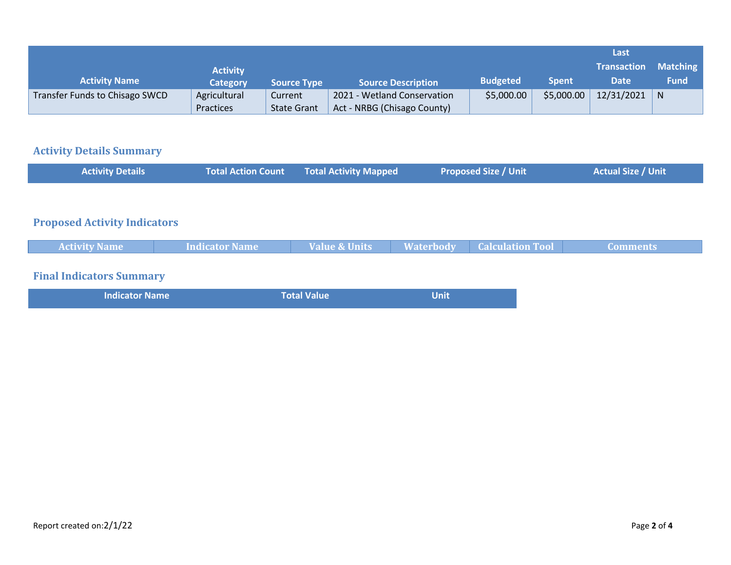|                                |                 |                    |                             |                 |              | Last               |                 |
|--------------------------------|-----------------|--------------------|-----------------------------|-----------------|--------------|--------------------|-----------------|
|                                | <b>Activity</b> |                    |                             |                 |              | <b>Transaction</b> | <b>Matching</b> |
| <b>Activity Name</b>           | Category        | <b>Source Type</b> | <b>Source Description</b>   | <b>Budgeted</b> | <b>Spent</b> | <b>Date</b>        | <b>Fund</b>     |
| Transfer Funds to Chisago SWCD | Agricultural    | Current            | 2021 - Wetland Conservation | \$5,000.00      | \$5,000.00   | $12/31/2021$ N     |                 |
|                                | Practices       | <b>State Grant</b> | Act - NRBG (Chisago County) |                 |              |                    |                 |

# **Activity Details Summary**

| <b>Activity Details</b>             | <b>Total Action Count</b> | <b>Total Activity Mapped</b> |                  | <b>Proposed Size / Unit</b> | <b>Actual Size / Unit</b> |
|-------------------------------------|---------------------------|------------------------------|------------------|-----------------------------|---------------------------|
|                                     |                           |                              |                  |                             |                           |
| <b>Proposed Activity Indicators</b> |                           |                              |                  |                             |                           |
| <b>Activity Name</b>                | <b>Indicator Name</b>     | Value & Units                | <b>Waterbody</b> | <b>Calculation Tool</b>     | <b>Comments</b>           |
| <b>Final Indicators Summary</b>     |                           |                              |                  |                             |                           |
| <b>Indicator Name</b>               |                           | Total Value                  | <b>Unit</b>      |                             |                           |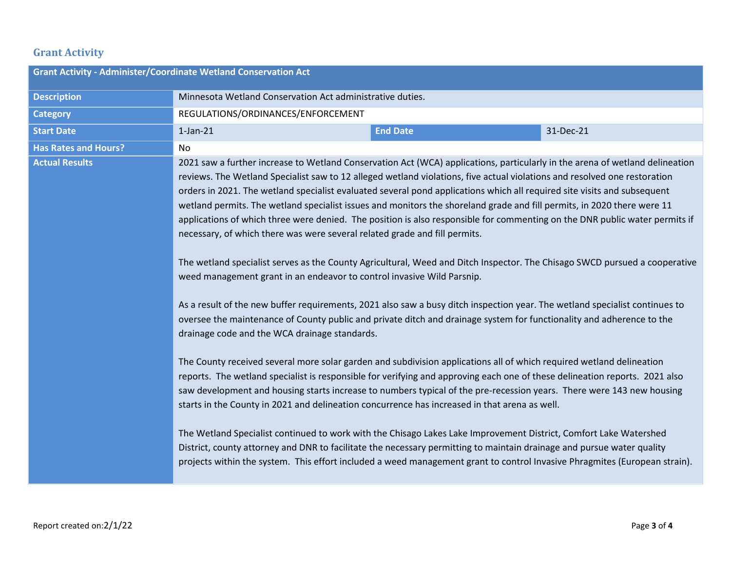## **Grant Activity**

| <b>Grant Activity - Administer/Coordinate Wetland Conservation Act</b> |                                                                                                                                                                                                                                                                                                                                                                                                                                                                                                                                                                                                                                                                                                                                                                                                                                                                                                                                                                                                                                                                                                                                                                                                                                                                                                                                                                                                                                                                                                                                                                                                                                                                                                                                                                                                                                                                                                                                                                                                                                                                                                              |                 |           |  |
|------------------------------------------------------------------------|--------------------------------------------------------------------------------------------------------------------------------------------------------------------------------------------------------------------------------------------------------------------------------------------------------------------------------------------------------------------------------------------------------------------------------------------------------------------------------------------------------------------------------------------------------------------------------------------------------------------------------------------------------------------------------------------------------------------------------------------------------------------------------------------------------------------------------------------------------------------------------------------------------------------------------------------------------------------------------------------------------------------------------------------------------------------------------------------------------------------------------------------------------------------------------------------------------------------------------------------------------------------------------------------------------------------------------------------------------------------------------------------------------------------------------------------------------------------------------------------------------------------------------------------------------------------------------------------------------------------------------------------------------------------------------------------------------------------------------------------------------------------------------------------------------------------------------------------------------------------------------------------------------------------------------------------------------------------------------------------------------------------------------------------------------------------------------------------------------------|-----------------|-----------|--|
| <b>Description</b>                                                     | Minnesota Wetland Conservation Act administrative duties.                                                                                                                                                                                                                                                                                                                                                                                                                                                                                                                                                                                                                                                                                                                                                                                                                                                                                                                                                                                                                                                                                                                                                                                                                                                                                                                                                                                                                                                                                                                                                                                                                                                                                                                                                                                                                                                                                                                                                                                                                                                    |                 |           |  |
| <b>Category</b>                                                        | REGULATIONS/ORDINANCES/ENFORCEMENT                                                                                                                                                                                                                                                                                                                                                                                                                                                                                                                                                                                                                                                                                                                                                                                                                                                                                                                                                                                                                                                                                                                                                                                                                                                                                                                                                                                                                                                                                                                                                                                                                                                                                                                                                                                                                                                                                                                                                                                                                                                                           |                 |           |  |
| <b>Start Date</b>                                                      | $1$ -Jan- $21$                                                                                                                                                                                                                                                                                                                                                                                                                                                                                                                                                                                                                                                                                                                                                                                                                                                                                                                                                                                                                                                                                                                                                                                                                                                                                                                                                                                                                                                                                                                                                                                                                                                                                                                                                                                                                                                                                                                                                                                                                                                                                               | <b>End Date</b> | 31-Dec-21 |  |
| <b>Has Rates and Hours?</b>                                            | No                                                                                                                                                                                                                                                                                                                                                                                                                                                                                                                                                                                                                                                                                                                                                                                                                                                                                                                                                                                                                                                                                                                                                                                                                                                                                                                                                                                                                                                                                                                                                                                                                                                                                                                                                                                                                                                                                                                                                                                                                                                                                                           |                 |           |  |
| <b>Actual Results</b>                                                  | 2021 saw a further increase to Wetland Conservation Act (WCA) applications, particularly in the arena of wetland delineation<br>reviews. The Wetland Specialist saw to 12 alleged wetland violations, five actual violations and resolved one restoration<br>orders in 2021. The wetland specialist evaluated several pond applications which all required site visits and subsequent<br>wetland permits. The wetland specialist issues and monitors the shoreland grade and fill permits, in 2020 there were 11<br>applications of which three were denied. The position is also responsible for commenting on the DNR public water permits if<br>necessary, of which there was were several related grade and fill permits.<br>The wetland specialist serves as the County Agricultural, Weed and Ditch Inspector. The Chisago SWCD pursued a cooperative<br>weed management grant in an endeavor to control invasive Wild Parsnip.<br>As a result of the new buffer requirements, 2021 also saw a busy ditch inspection year. The wetland specialist continues to<br>oversee the maintenance of County public and private ditch and drainage system for functionality and adherence to the<br>drainage code and the WCA drainage standards.<br>The County received several more solar garden and subdivision applications all of which required wetland delineation<br>reports. The wetland specialist is responsible for verifying and approving each one of these delineation reports. 2021 also<br>saw development and housing starts increase to numbers typical of the pre-recession years. There were 143 new housing<br>starts in the County in 2021 and delineation concurrence has increased in that arena as well.<br>The Wetland Specialist continued to work with the Chisago Lakes Lake Improvement District, Comfort Lake Watershed<br>District, county attorney and DNR to facilitate the necessary permitting to maintain drainage and pursue water quality<br>projects within the system. This effort included a weed management grant to control Invasive Phragmites (European strain). |                 |           |  |